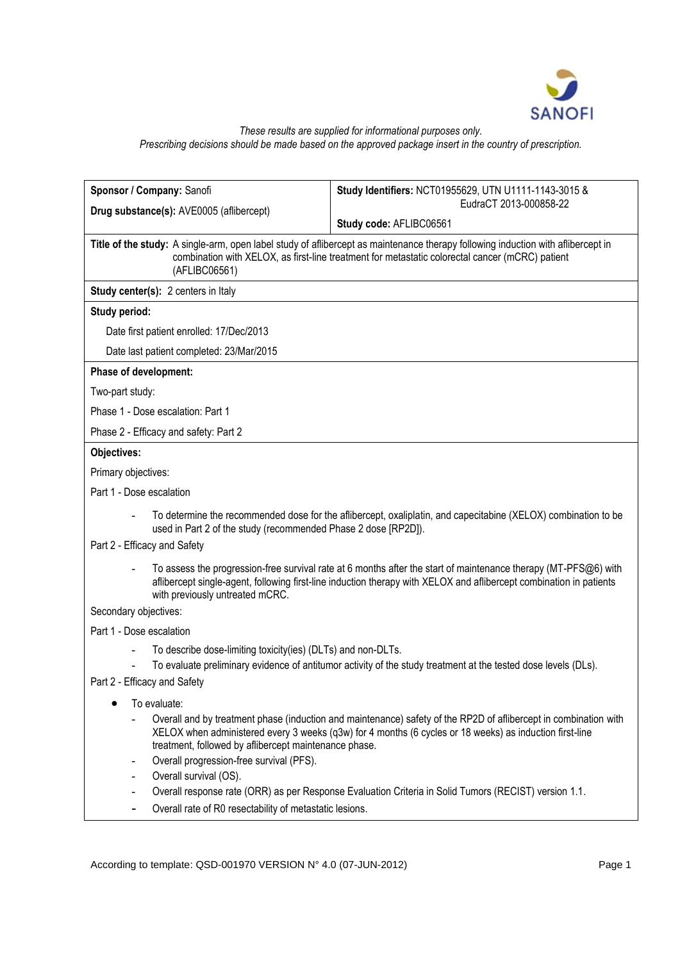

# *These results are supplied for informational purposes only. Prescribing decisions should be made based on the approved package insert in the country of prescription.*

| Sponsor / Company: Sanofi<br>Study Identifiers: NCT01955629, UTN U1111-1143-3015 &                                                                                                                                                                                                   |  |  |  |  |
|--------------------------------------------------------------------------------------------------------------------------------------------------------------------------------------------------------------------------------------------------------------------------------------|--|--|--|--|
| EudraCT 2013-000858-22<br>Drug substance(s): AVE0005 (aflibercept)                                                                                                                                                                                                                   |  |  |  |  |
| Study code: AFLIBC06561                                                                                                                                                                                                                                                              |  |  |  |  |
| Title of the study: A single-arm, open label study of aflibercept as maintenance therapy following induction with aflibercept in<br>combination with XELOX, as first-line treatment for metastatic colorectal cancer (mCRC) patient<br>(AFLIBC06561)                                 |  |  |  |  |
| Study center(s): 2 centers in Italy                                                                                                                                                                                                                                                  |  |  |  |  |
| Study period:                                                                                                                                                                                                                                                                        |  |  |  |  |
| Date first patient enrolled: 17/Dec/2013                                                                                                                                                                                                                                             |  |  |  |  |
| Date last patient completed: 23/Mar/2015                                                                                                                                                                                                                                             |  |  |  |  |
| Phase of development:                                                                                                                                                                                                                                                                |  |  |  |  |
| Two-part study:                                                                                                                                                                                                                                                                      |  |  |  |  |
| Phase 1 - Dose escalation: Part 1                                                                                                                                                                                                                                                    |  |  |  |  |
| Phase 2 - Efficacy and safety: Part 2                                                                                                                                                                                                                                                |  |  |  |  |
| Objectives:                                                                                                                                                                                                                                                                          |  |  |  |  |
| Primary objectives:                                                                                                                                                                                                                                                                  |  |  |  |  |
| Part 1 - Dose escalation                                                                                                                                                                                                                                                             |  |  |  |  |
| To determine the recommended dose for the aflibercept, oxaliplatin, and capecitabine (XELOX) combination to be<br>used in Part 2 of the study (recommended Phase 2 dose [RP2D]).                                                                                                     |  |  |  |  |
| Part 2 - Efficacy and Safety                                                                                                                                                                                                                                                         |  |  |  |  |
| To assess the progression-free survival rate at 6 months after the start of maintenance therapy (MT-PFS@6) with<br>aflibercept single-agent, following first-line induction therapy with XELOX and aflibercept combination in patients<br>with previously untreated mCRC.            |  |  |  |  |
| Secondary objectives:                                                                                                                                                                                                                                                                |  |  |  |  |
| Part 1 - Dose escalation                                                                                                                                                                                                                                                             |  |  |  |  |
| To describe dose-limiting toxicity(ies) (DLTs) and non-DLTs.                                                                                                                                                                                                                         |  |  |  |  |
| To evaluate preliminary evidence of antitumor activity of the study treatment at the tested dose levels (DLs).<br>Part 2 - Efficacy and Safety                                                                                                                                       |  |  |  |  |
|                                                                                                                                                                                                                                                                                      |  |  |  |  |
| To evaluate:<br>$\bullet$                                                                                                                                                                                                                                                            |  |  |  |  |
| Overall and by treatment phase (induction and maintenance) safety of the RP2D of aflibercept in combination with<br>XELOX when administered every 3 weeks (q3w) for 4 months (6 cycles or 18 weeks) as induction first-line<br>treatment, followed by aflibercept maintenance phase. |  |  |  |  |
| Overall progression-free survival (PFS).<br>$\blacksquare$                                                                                                                                                                                                                           |  |  |  |  |
| Overall survival (OS).                                                                                                                                                                                                                                                               |  |  |  |  |
| Overall response rate (ORR) as per Response Evaluation Criteria in Solid Tumors (RECIST) version 1.1.<br>Overall rate of R0 resectability of metastatic lesions.                                                                                                                     |  |  |  |  |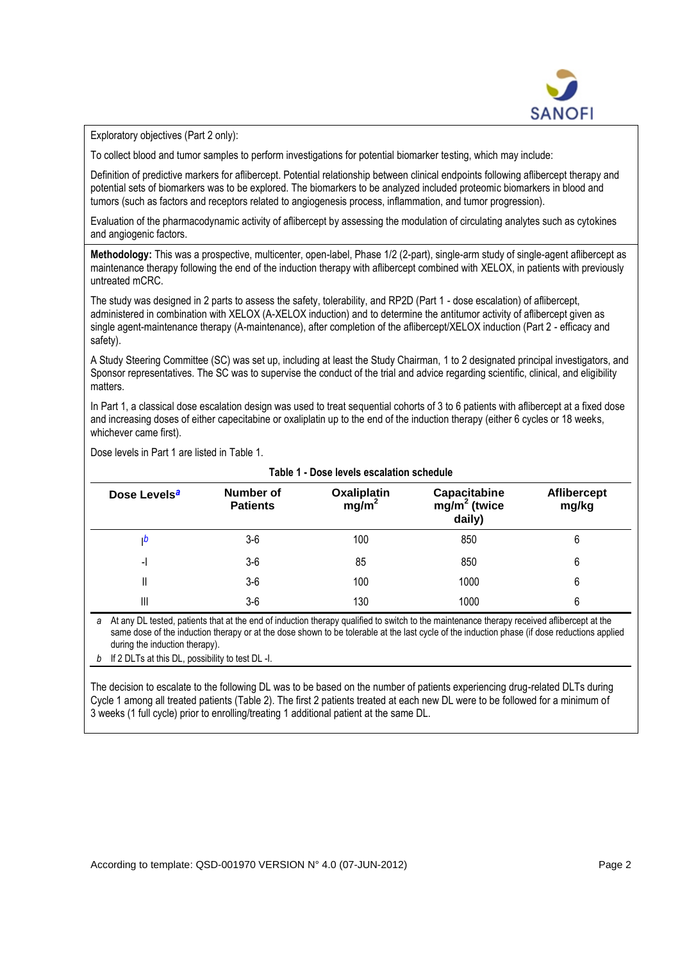

Exploratory objectives (Part 2 only):

To collect blood and tumor samples to perform investigations for potential biomarker testing, which may include:

Definition of predictive markers for aflibercept. Potential relationship between clinical endpoints following aflibercept therapy and potential sets of biomarkers was to be explored. The biomarkers to be analyzed included proteomic biomarkers in blood and tumors (such as factors and receptors related to angiogenesis process, inflammation, and tumor progression).

Evaluation of the pharmacodynamic activity of aflibercept by assessing the modulation of circulating analytes such as cytokines and angiogenic factors.

**Methodology:** This was a prospective, multicenter, open-label, Phase 1/2 (2-part), single-arm study of single-agent aflibercept as maintenance therapy following the end of the induction therapy with aflibercept combined with XELOX, in patients with previously untreated mCRC.

The study was designed in 2 parts to assess the safety, tolerability, and RP2D (Part 1 - dose escalation) of aflibercept, administered in combination with XELOX (A-XELOX induction) and to determine the antitumor activity of aflibercept given as single agent-maintenance therapy (A-maintenance), after completion of the aflibercept/XELOX induction (Part 2 - efficacy and safety).

A Study Steering Committee (SC) was set up, including at least the Study Chairman, 1 to 2 designated principal investigators, and Sponsor representatives. The SC was to supervise the conduct of the trial and advice regarding scientific, clinical, and eligibility matters.

In Part 1, a classical dose escalation design was used to treat sequential cohorts of 3 to 6 patients with aflibercept at a fixed dose and increasing doses of either capecitabine or oxaliplatin up to the end of the induction therapy (either 6 cycles or 18 weeks, whichever came first).

Dose levels in Part 1 are listed in Table 1.

| Table 1 - Dose levels escalation schedule |                                     |                                  |                                          |                             |  |
|-------------------------------------------|-------------------------------------|----------------------------------|------------------------------------------|-----------------------------|--|
| Dose Levels <sup>a</sup>                  | <b>Number of</b><br><b>Patients</b> | Oxaliplatin<br>mg/m <sup>2</sup> | Capacitabine<br>$mg/m2$ (twice<br>daily) | <b>Aflibercept</b><br>mg/kg |  |
| w                                         | $3-6$                               | 100                              | 850                                      | 6                           |  |
| -1                                        | $3-6$                               | 85                               | 850                                      | 6                           |  |
| II                                        | $3-6$                               | 100                              | 1000                                     | 6                           |  |
| Ш                                         | $3-6$                               | 130                              | 1000                                     | 6                           |  |

<span id="page-1-0"></span>*a* At any DL tested, patients that at the end of induction therapy qualified to switch to the maintenance therapy received aflibercept at the same dose of the induction therapy or at the dose shown to be tolerable at the last cycle of the induction phase (if dose reductions applied during the induction therapy).

<span id="page-1-1"></span>*b* If 2 DLTs at this DL, possibility to test DL -I.

The decision to escalate to the following DL was to be based on the number of patients experiencing drug-related DLTs during Cycle 1 among all treated patients (Table 2). The first 2 patients treated at each new DL were to be followed for a minimum of 3 weeks (1 full cycle) prior to enrolling/treating 1 additional patient at the same DL.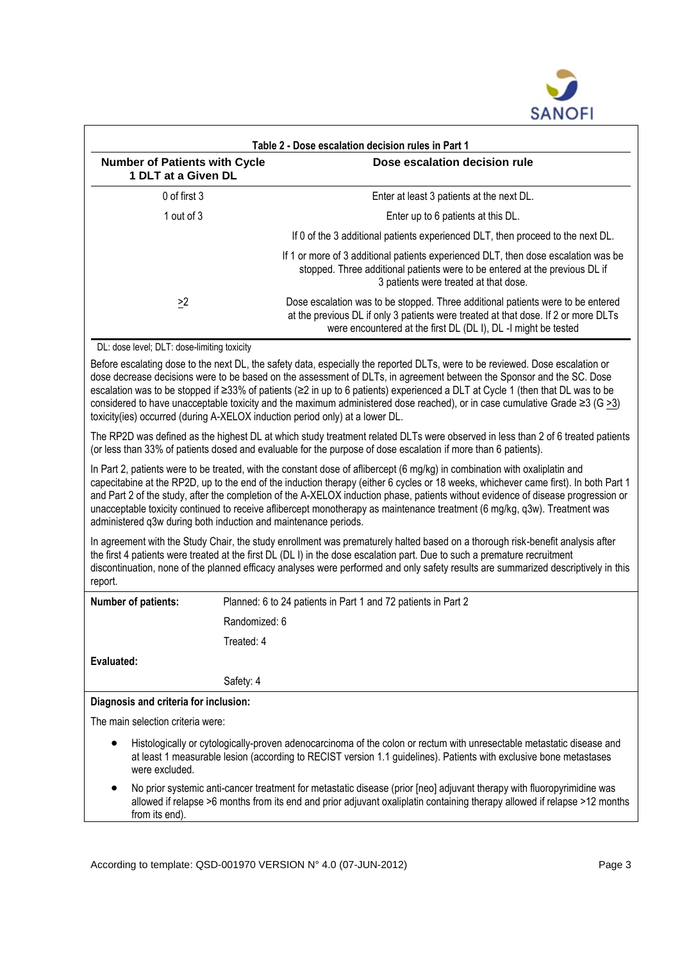

| <b>Number of Patients with Cycle</b><br>1 DLT at a Given DL | Dose escalation decision rule                                                                                                                                                                                                           |
|-------------------------------------------------------------|-----------------------------------------------------------------------------------------------------------------------------------------------------------------------------------------------------------------------------------------|
| 0 of first 3                                                | Enter at least 3 patients at the next DL.                                                                                                                                                                                               |
| 1 out of $3$                                                | Enter up to 6 patients at this DL.                                                                                                                                                                                                      |
|                                                             | If 0 of the 3 additional patients experienced DLT, then proceed to the next DL.                                                                                                                                                         |
|                                                             | If 1 or more of 3 additional patients experienced DLT, then dose escalation was be<br>stopped. Three additional patients were to be entered at the previous DL if<br>3 patients were treated at that dose.                              |
| $\geq$ 2                                                    | Dose escalation was to be stopped. Three additional patients were to be entered<br>at the previous DL if only 3 patients were treated at that dose. If 2 or more DLTs<br>were encountered at the first DL (DL I), DL -I might be tested |

to the next DL, the safety data, especially the reported DLTs, were to be reviewed. Dose escalat dose decrease decisions were to be based on the assessment of DLTs, in agreement between the Sponsor and the SC. Dose escalation was to be stopped if ≥33% of patients (≥2 in up to 6 patients) experienced a DLT at Cycle 1 (then that DL was to be considered to have unacceptable toxicity and the maximum administered dose reached), or in case cumulative Grade  $\geq 3$  (G >3) toxicity(ies) occurred (during A-XELOX induction period only) at a lower DL.

The RP2D was defined as the highest DL at which study treatment related DLTs were observed in less than 2 of 6 treated patients (or less than 33% of patients dosed and evaluable for the purpose of dose escalation if more than 6 patients).

In Part 2, patients were to be treated, with the constant dose of aflibercept (6 mg/kg) in combination with oxaliplatin and capecitabine at the RP2D, up to the end of the induction therapy (either 6 cycles or 18 weeks, whichever came first). In both Part 1 and Part 2 of the study, after the completion of the A-XELOX induction phase, patients without evidence of disease progression or unacceptable toxicity continued to receive aflibercept monotherapy as maintenance treatment (6 mg/kg, q3w). Treatment was administered q3w during both induction and maintenance periods.

In agreement with the Study Chair, the study enrollment was prematurely halted based on a thorough risk-benefit analysis after the first 4 patients were treated at the first DL (DL I) in the dose escalation part. Due to such a premature recruitment discontinuation, none of the planned efficacy analyses were performed and only safety results are summarized descriptively in this report.

| <b>Number of patients:</b>            | Planned: 6 to 24 patients in Part 1 and 72 patients in Part 2 |  |  |
|---------------------------------------|---------------------------------------------------------------|--|--|
|                                       | Randomized: 6                                                 |  |  |
|                                       | Treated: 4                                                    |  |  |
| Evaluated:                            |                                                               |  |  |
|                                       | Safety: 4                                                     |  |  |
| Diagnosis and criteria for inclusion: |                                                               |  |  |

The main selection criteria were:

- Histologically or cytologically-proven adenocarcinoma of the colon or rectum with unresectable metastatic disease and at least 1 measurable lesion (according to RECIST version 1.1 guidelines). Patients with exclusive bone metastases were excluded.
- No prior systemic anti-cancer treatment for metastatic disease (prior [neo] adjuvant therapy with fluoropyrimidine was allowed if relapse >6 months from its end and prior adjuvant oxaliplatin containing therapy allowed if relapse >12 months from its end).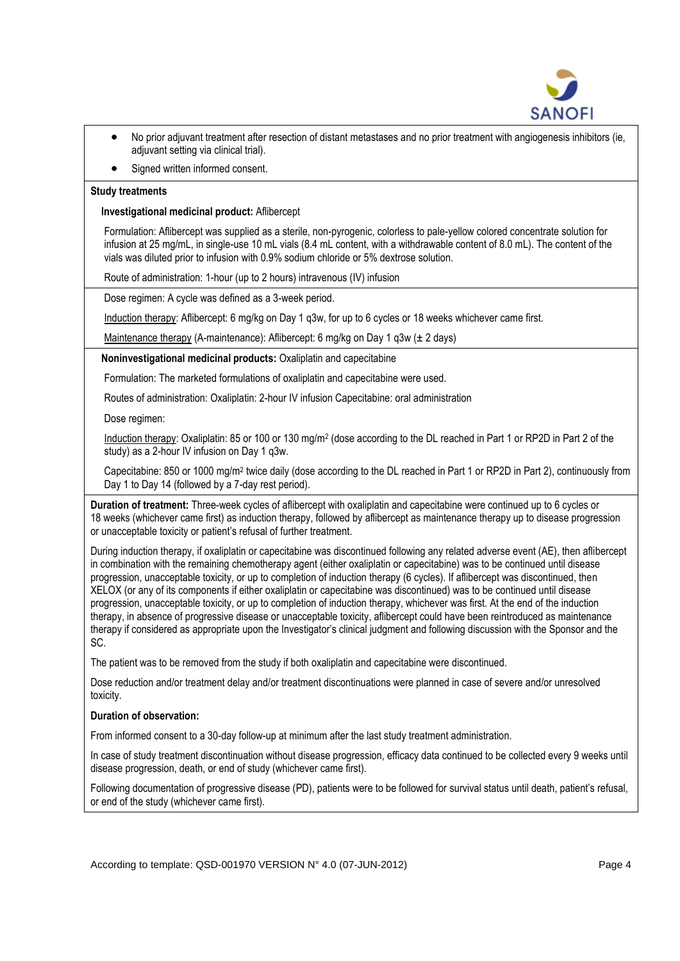

- No prior adjuvant treatment after resection of distant metastases and no prior treatment with angiogenesis inhibitors (ie, adjuvant setting via clinical trial).
- Signed written informed consent.

## **Study treatments**

**Investigational medicinal product:** Aflibercept

Formulation: Aflibercept was supplied as a sterile, non-pyrogenic, colorless to pale-yellow colored concentrate solution for infusion at 25 mg/mL, in single-use 10 mL vials (8.4 mL content, with a withdrawable content of 8.0 mL). The content of the vials was diluted prior to infusion with 0.9% sodium chloride or 5% dextrose solution.

Route of administration: 1-hour (up to 2 hours) intravenous (IV) infusion

Dose regimen: A cycle was defined as a 3-week period.

Induction therapy: Aflibercept: 6 mg/kg on Day 1 q3w, for up to 6 cycles or 18 weeks whichever came first.

Maintenance therapy (A-maintenance): Aflibercept: 6 mg/kg on Day 1 q3w (± 2 days)

**Noninvestigational medicinal products:** Oxaliplatin and capecitabine

Formulation: The marketed formulations of oxaliplatin and capecitabine were used.

Routes of administration: Oxaliplatin: 2-hour IV infusion Capecitabine: oral administration

Dose regimen:

Induction therapy: Oxaliplatin: 85 or 100 or 130 mg/m<sup>2</sup> (dose according to the DL reached in Part 1 or RP2D in Part 2 of the study) as a 2-hour IV infusion on Day 1 q3w.

Capecitabine: 850 or 1000 mg/m<sup>2</sup> twice daily (dose according to the DL reached in Part 1 or RP2D in Part 2), continuously from Day 1 to Day 14 (followed by a 7-day rest period).

**Duration of treatment:** Three-week cycles of aflibercept with oxaliplatin and capecitabine were continued up to 6 cycles or 18 weeks (whichever came first) as induction therapy, followed by aflibercept as maintenance therapy up to disease progression or unacceptable toxicity or patient's refusal of further treatment.

During induction therapy, if oxaliplatin or capecitabine was discontinued following any related adverse event (AE), then aflibercept in combination with the remaining chemotherapy agent (either oxaliplatin or capecitabine) was to be continued until disease progression, unacceptable toxicity, or up to completion of induction therapy (6 cycles). If aflibercept was discontinued, then XELOX (or any of its components if either oxaliplatin or capecitabine was discontinued) was to be continued until disease progression, unacceptable toxicity, or up to completion of induction therapy, whichever was first. At the end of the induction therapy, in absence of progressive disease or unacceptable toxicity, aflibercept could have been reintroduced as maintenance therapy if considered as appropriate upon the Investigator's clinical judgment and following discussion with the Sponsor and the SC.

The patient was to be removed from the study if both oxaliplatin and capecitabine were discontinued.

Dose reduction and/or treatment delay and/or treatment discontinuations were planned in case of severe and/or unresolved toxicity.

# **Duration of observation:**

From informed consent to a 30-day follow-up at minimum after the last study treatment administration.

In case of study treatment discontinuation without disease progression, efficacy data continued to be collected every 9 weeks until disease progression, death, or end of study (whichever came first).

Following documentation of progressive disease (PD), patients were to be followed for survival status until death, patient's refusal, or end of the study (whichever came first).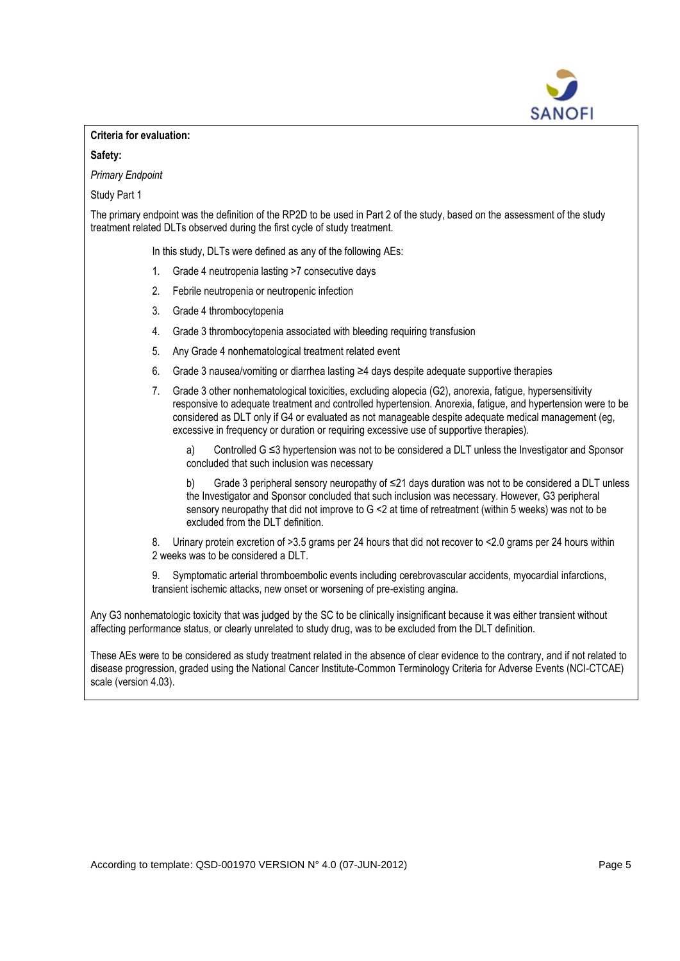

## **Criteria for evaluation:**

## **Safety:**

*Primary Endpoint*

Study Part 1

The primary endpoint was the definition of the RP2D to be used in Part 2 of the study, based on the assessment of the study treatment related DLTs observed during the first cycle of study treatment.

In this study, DLTs were defined as any of the following AEs:

- 1. Grade 4 neutropenia lasting >7 consecutive days
- 2. Febrile neutropenia or neutropenic infection
- 3. Grade 4 thrombocytopenia
- 4. Grade 3 thrombocytopenia associated with bleeding requiring transfusion
- 5. Any Grade 4 nonhematological treatment related event
- 6. Grade 3 nausea/vomiting or diarrhea lasting ≥4 days despite adequate supportive therapies
- 7. Grade 3 other nonhematological toxicities, excluding alopecia (G2), anorexia, fatigue, hypersensitivity responsive to adequate treatment and controlled hypertension. Anorexia, fatigue, and hypertension were to be considered as DLT only if G4 or evaluated as not manageable despite adequate medical management (eg, excessive in frequency or duration or requiring excessive use of supportive therapies).

a) Controlled  $G \leq 3$  hypertension was not to be considered a DLT unless the Investigator and Sponsor concluded that such inclusion was necessary

b) Grade 3 peripheral sensory neuropathy of ≤21 days duration was not to be considered a DLT unless the Investigator and Sponsor concluded that such inclusion was necessary. However, G3 peripheral sensory neuropathy that did not improve to G <2 at time of retreatment (within 5 weeks) was not to be excluded from the DLT definition.

8. Urinary protein excretion of >3.5 grams per 24 hours that did not recover to <2.0 grams per 24 hours within 2 weeks was to be considered a DLT.

9. Symptomatic arterial thromboembolic events including cerebrovascular accidents, myocardial infarctions, transient ischemic attacks, new onset or worsening of pre-existing angina.

Any G3 nonhematologic toxicity that was judged by the SC to be clinically insignificant because it was either transient without affecting performance status, or clearly unrelated to study drug, was to be excluded from the DLT definition.

These AEs were to be considered as study treatment related in the absence of clear evidence to the contrary, and if not related to disease progression, graded using the National Cancer Institute-Common Terminology Criteria for Adverse Events (NCI-CTCAE) scale (version 4.03).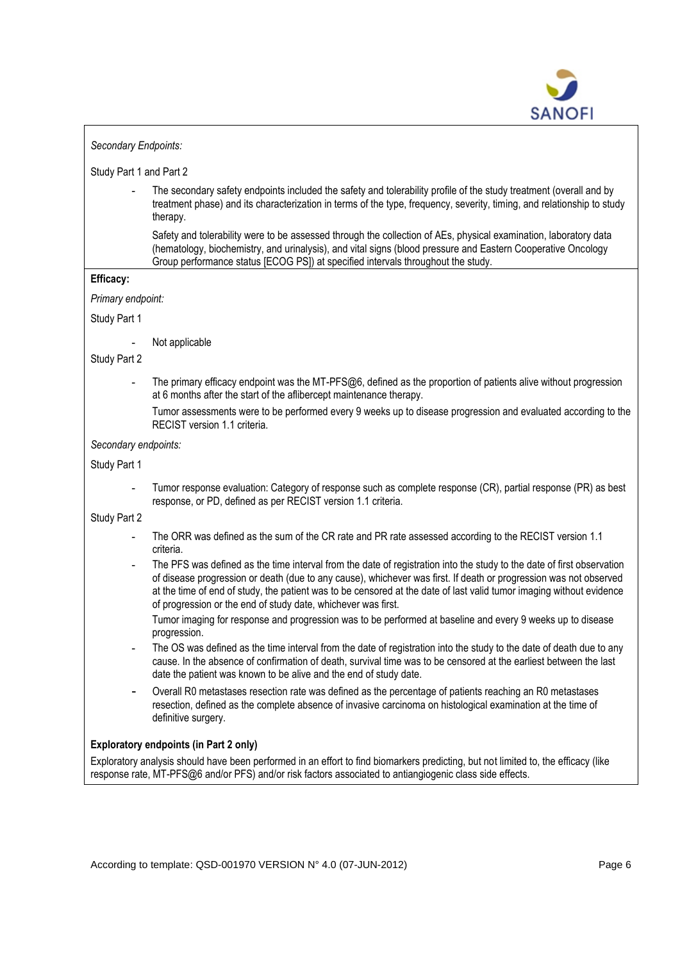

## *Secondary Endpoints:*

## Study Part 1 and Part 2

**-** The secondary safety endpoints included the safety and tolerability profile of the study treatment (overall and by treatment phase) and its characterization in terms of the type, frequency, severity, timing, and relationship to study therapy.

Safety and tolerability were to be assessed through the collection of AEs, physical examination, laboratory data (hematology, biochemistry, and urinalysis), and vital signs (blood pressure and Eastern Cooperative Oncology Group performance status [ECOG PS]) at specified intervals throughout the study.

## **Efficacy:**

*Primary endpoint:*

Study Part 1

**-** Not applicable

Study Part 2

- **-** The primary efficacy endpoint was the MT-PFS@6, defined as the proportion of patients alive without progression at 6 months after the start of the aflibercept maintenance therapy.
	- Tumor assessments were to be performed every 9 weeks up to disease progression and evaluated according to the RECIST version 1.1 criteria.

## *Secondary endpoints:*

Study Part 1

**-** Tumor response evaluation: Category of response such as complete response (CR), partial response (PR) as best response, or PD, defined as per RECIST version 1.1 criteria.

Study Part 2

- **-** The ORR was defined as the sum of the CR rate and PR rate assessed according to the RECIST version 1.1 criteria.
- **-** The PFS was defined as the time interval from the date of registration into the study to the date of first observation of disease progression or death (due to any cause), whichever was first. If death or progression was not observed at the time of end of study, the patient was to be censored at the date of last valid tumor imaging without evidence of progression or the end of study date, whichever was first.

Tumor imaging for response and progression was to be performed at baseline and every 9 weeks up to disease progression.

- **-** The OS was defined as the time interval from the date of registration into the study to the date of death due to any cause. In the absence of confirmation of death, survival time was to be censored at the earliest between the last date the patient was known to be alive and the end of study date.
- **-** Overall R0 metastases resection rate was defined as the percentage of patients reaching an R0 metastases resection, defined as the complete absence of invasive carcinoma on histological examination at the time of definitive surgery.

## **Exploratory endpoints (in Part 2 only)**

Exploratory analysis should have been performed in an effort to find biomarkers predicting, but not limited to, the efficacy (like response rate, MT-PFS@6 and/or PFS) and/or risk factors associated to antiangiogenic class side effects.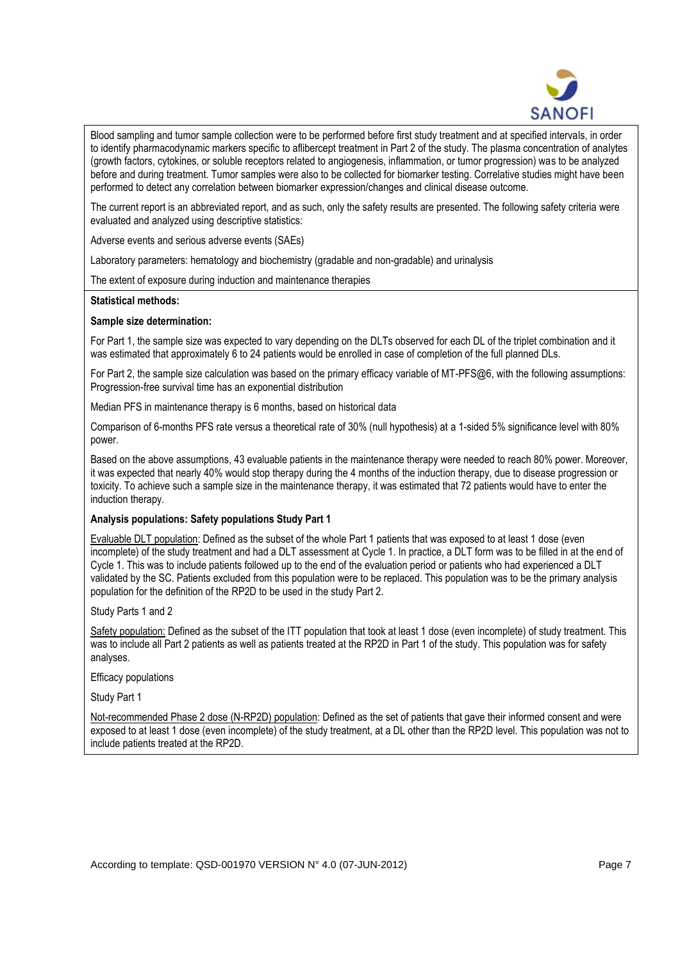

Blood sampling and tumor sample collection were to be performed before first study treatment and at specified intervals, in order to identify pharmacodynamic markers specific to aflibercept treatment in Part 2 of the study. The plasma concentration of analytes (growth factors, cytokines, or soluble receptors related to angiogenesis, inflammation, or tumor progression) was to be analyzed before and during treatment. Tumor samples were also to be collected for biomarker testing. Correlative studies might have been performed to detect any correlation between biomarker expression/changes and clinical disease outcome.

The current report is an abbreviated report, and as such, only the safety results are presented. The following safety criteria were evaluated and analyzed using descriptive statistics:

Adverse events and serious adverse events (SAEs)

Laboratory parameters: hematology and biochemistry (gradable and non-gradable) and urinalysis

The extent of exposure during induction and maintenance therapies

#### **Statistical methods:**

#### **Sample size determination:**

For Part 1, the sample size was expected to vary depending on the DLTs observed for each DL of the triplet combination and it was estimated that approximately 6 to 24 patients would be enrolled in case of completion of the full planned DLs.

For Part 2, the sample size calculation was based on the primary efficacy variable of MT-PFS@6, with the following assumptions: Progression-free survival time has an exponential distribution

Median PFS in maintenance therapy is 6 months, based on historical data

Comparison of 6-months PFS rate versus a theoretical rate of 30% (null hypothesis) at a 1-sided 5% significance level with 80% power.

Based on the above assumptions, 43 evaluable patients in the maintenance therapy were needed to reach 80% power. Moreover, it was expected that nearly 40% would stop therapy during the 4 months of the induction therapy, due to disease progression or toxicity. To achieve such a sample size in the maintenance therapy, it was estimated that 72 patients would have to enter the induction therapy.

#### **Analysis populations: Safety populations Study Part 1**

Evaluable DLT population: Defined as the subset of the whole Part 1 patients that was exposed to at least 1 dose (even incomplete) of the study treatment and had a DLT assessment at Cycle 1. In practice, a DLT form was to be filled in at the end of Cycle 1. This was to include patients followed up to the end of the evaluation period or patients who had experienced a DLT validated by the SC. Patients excluded from this population were to be replaced. This population was to be the primary analysis population for the definition of the RP2D to be used in the study Part 2.

Study Parts 1 and 2

Safety population: Defined as the subset of the ITT population that took at least 1 dose (even incomplete) of study treatment. This was to include all Part 2 patients as well as patients treated at the RP2D in Part 1 of the study. This population was for safety analyses.

Efficacy populations

Study Part 1

Not-recommended Phase 2 dose (N-RP2D) population: Defined as the set of patients that gave their informed consent and were exposed to at least 1 dose (even incomplete) of the study treatment, at a DL other than the RP2D level. This population was not to include patients treated at the RP2D.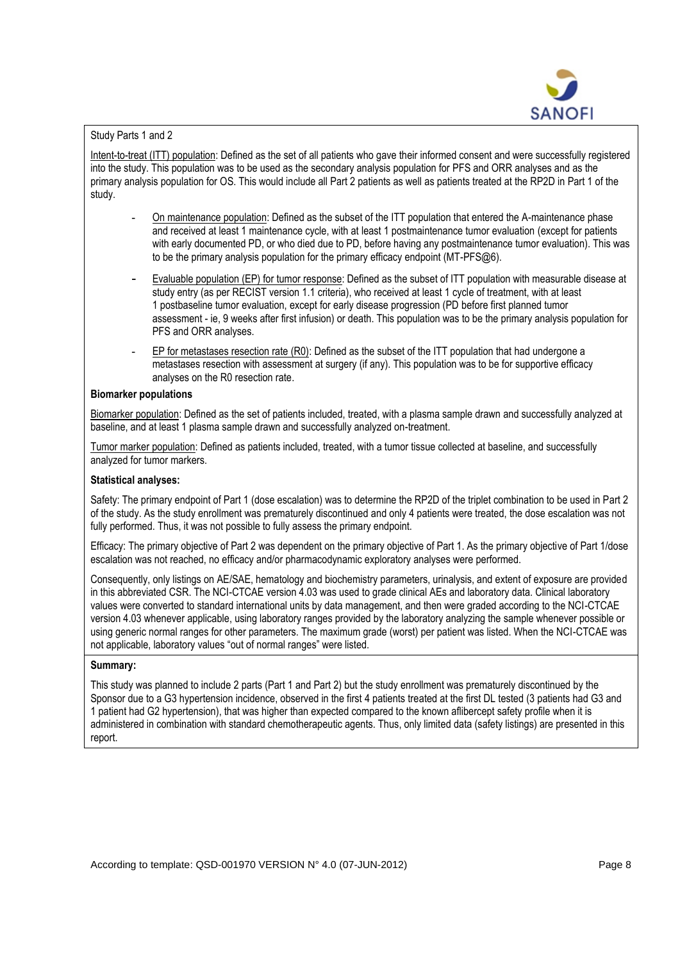

# Study Parts 1 and 2

Intent-to-treat (ITT) population: Defined as the set of all patients who gave their informed consent and were successfully registered into the study. This population was to be used as the secondary analysis population for PFS and ORR analyses and as the primary analysis population for OS. This would include all Part 2 patients as well as patients treated at the RP2D in Part 1 of the study.

- **-** On maintenance population: Defined as the subset of the ITT population that entered the A-maintenance phase and received at least 1 maintenance cycle, with at least 1 postmaintenance tumor evaluation (except for patients with early documented PD, or who died due to PD, before having any postmaintenance tumor evaluation). This was to be the primary analysis population for the primary efficacy endpoint (MT-PFS@6).
- **-** Evaluable population (EP) for tumor response: Defined as the subset of ITT population with measurable disease at study entry (as per RECIST version 1.1 criteria), who received at least 1 cycle of treatment, with at least 1 postbaseline tumor evaluation, except for early disease progression (PD before first planned tumor assessment - ie, 9 weeks after first infusion) or death. This population was to be the primary analysis population for PFS and ORR analyses.
- **-** EP for metastases resection rate (R0): Defined as the subset of the ITT population that had undergone a metastases resection with assessment at surgery (if any). This population was to be for supportive efficacy analyses on the R0 resection rate.

## **Biomarker populations**

Biomarker population: Defined as the set of patients included, treated, with a plasma sample drawn and successfully analyzed at baseline, and at least 1 plasma sample drawn and successfully analyzed on-treatment.

Tumor marker population: Defined as patients included, treated, with a tumor tissue collected at baseline, and successfully analyzed for tumor markers.

## **Statistical analyses:**

Safety: The primary endpoint of Part 1 (dose escalation) was to determine the RP2D of the triplet combination to be used in Part 2 of the study. As the study enrollment was prematurely discontinued and only 4 patients were treated, the dose escalation was not fully performed. Thus, it was not possible to fully assess the primary endpoint.

Efficacy: The primary objective of Part 2 was dependent on the primary objective of Part 1. As the primary objective of Part 1/dose escalation was not reached, no efficacy and/or pharmacodynamic exploratory analyses were performed.

Consequently, only listings on AE/SAE, hematology and biochemistry parameters, urinalysis, and extent of exposure are provided in this abbreviated CSR. The NCI-CTCAE version 4.03 was used to grade clinical AEs and laboratory data. Clinical laboratory values were converted to standard international units by data management, and then were graded according to the NCI-CTCAE version 4.03 whenever applicable, using laboratory ranges provided by the laboratory analyzing the sample whenever possible or using generic normal ranges for other parameters. The maximum grade (worst) per patient was listed. When the NCI-CTCAE was not applicable, laboratory values "out of normal ranges" were listed.

## **Summary:**

This study was planned to include 2 parts (Part 1 and Part 2) but the study enrollment was prematurely discontinued by the Sponsor due to a G3 hypertension incidence, observed in the first 4 patients treated at the first DL tested (3 patients had G3 and 1 patient had G2 hypertension), that was higher than expected compared to the known aflibercept safety profile when it is administered in combination with standard chemotherapeutic agents. Thus, only limited data (safety listings) are presented in this report.